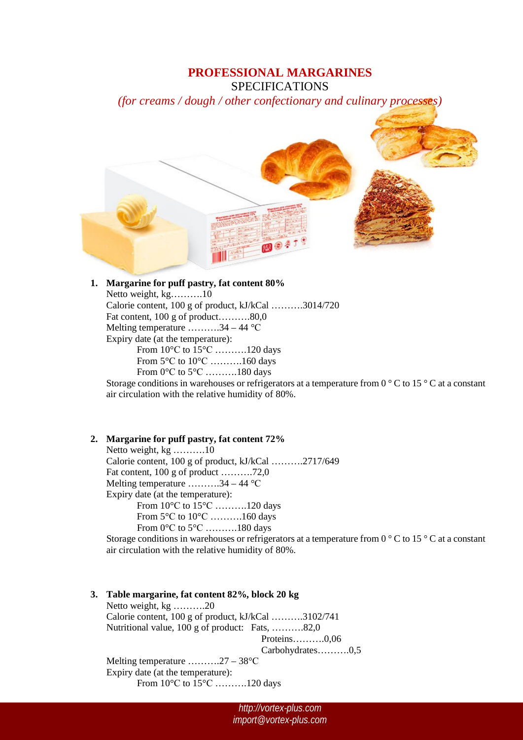# **PROFESSIONAL MARGARINES** SPECIFICATIONS

*(for creams / dough / other confectionary and culinary processes)*



## **1. Margarine for puff pastry, fat content 80%**

Netto weight, kg……….10 Calorie content, 100 g of product, kJ/kCal ……….3014/720 Fat content, 100 g of product...........80,0 Melting temperature  $\dots\dots\dots34-44$  °C Expiry date (at the temperature): From 10°С to 15°С ……….120 days From 5°С to 10°С ……….160 days From 0°С to 5°С ……….180 days

Storage conditions in warehouses or refrigerators at a temperature from  $0^{\circ}$ C to  $15^{\circ}$ C at a constant air circulation with the relative humidity of 80%.

## **2. Margarine for puff pastry, fat content 72%**

Netto weight, kg ……….10 Calorie content, 100 g of product, kJ/kCal ……….2717/649 Fat content, 100 g of product ……….72,0 Melting temperature ……….34 – 44 °С Expiry date (at the temperature): From 10°С to 15°С ……….120 days From 5°С to 10°С ……….160 days From 0°С to 5°С ……….180 days

Storage conditions in warehouses or refrigerators at a temperature from  $0^{\circ}$ C to  $15^{\circ}$ C at a constant air circulation with the relative humidity of 80%.

#### **3. Table margarine, fat content 82%, block 20 kg**

Netto weight, kg ……….20 Calorie content, 100 g of product, kJ/kCal ……….3102/741 Nutritional value, 100 g of product: Fats, ……….82,0 Proteins……….0,06 Carbohydrates……….0,5 Melting temperature ……….27 – 38°С Expiry date (at the temperature): From 10°С to 15°С ……….120 days

> *http://vortex-plus.com import@vortex-plus.com*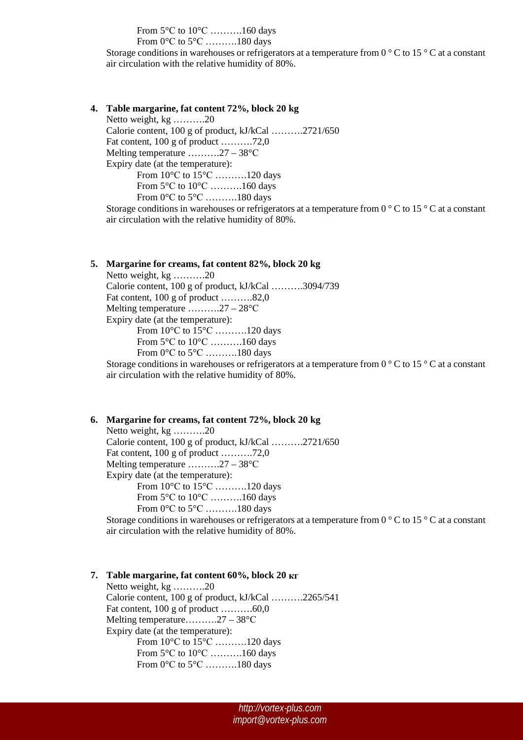From 5°С to 10°С ……….160 days

From 0°С to 5°С ……….180 days

Storage conditions in warehouses or refrigerators at a temperature from  $0^{\circ}$ C to  $15^{\circ}$ C at a constant air circulation with the relative humidity of 80%.

**4. Table margarine, fat content 72%, block 20 kg**

Netto weight, kg ……….20 Calorie content, 100 g of product, kJ/kCal ……….2721/650 Fat content, 100 g of product ……….72,0 Melting temperature ……….27 – 38°С Expiry date (at the temperature): From 10°С to 15°С ……….120 days From 5°С to 10°С ……….160 days From 0°С to 5°С ……….180 days

Storage conditions in warehouses or refrigerators at a temperature from  $0^{\circ}$ C to 15  $^{\circ}$ C at a constant air circulation with the relative humidity of 80%.

## **5. Margarine for creams, fat content 82%, block 20 kg**

Netto weight, kg ……….20 Calorie content, 100 g of product, kJ/kCal ……….3094/739 Fat content, 100 g of product ..........82,0 Melting temperature ……….27 – 28°С Expiry date (at the temperature): From 10°С to 15°С ……….120 days From 5°С to 10°С ……….160 days From 0°С to 5°С ……….180 days

Storage conditions in warehouses or refrigerators at a temperature from  $0^{\circ}$ C to  $15^{\circ}$ C at a constant air circulation with the relative humidity of 80%.

## **6. Margarine for creams, fat content 72%, block 20 kg**

Netto weight, kg ……….20 Calorie content, 100 g of product, kJ/kCal ……….2721/650 Fat content, 100 g of product ……….72,0 Melting temperature ……….27 – 38°С Expiry date (at the temperature): From 10°С to 15°С ……….120 days From 5°С to 10°С ……….160 days From 0°С to 5°С ……….180 days

Storage conditions in warehouses or refrigerators at a temperature from 0 ° C to 15 ° C at a constant air circulation with the relative humidity of 80%.

#### **7. Table margarine, fat content 60%, block 20 кг**

Netto weight, kg ……….20 Calorie content, 100 g of product, kJ/kCal ……….2265/541 Fat content, 100 g of product ……….60,0 Melting temperature……….27 – 38°С Expiry date (at the temperature): From 10°С to 15°С ……….120 days From 5°С to 10°С ……….160 days From 0°С to 5°С ……….180 days